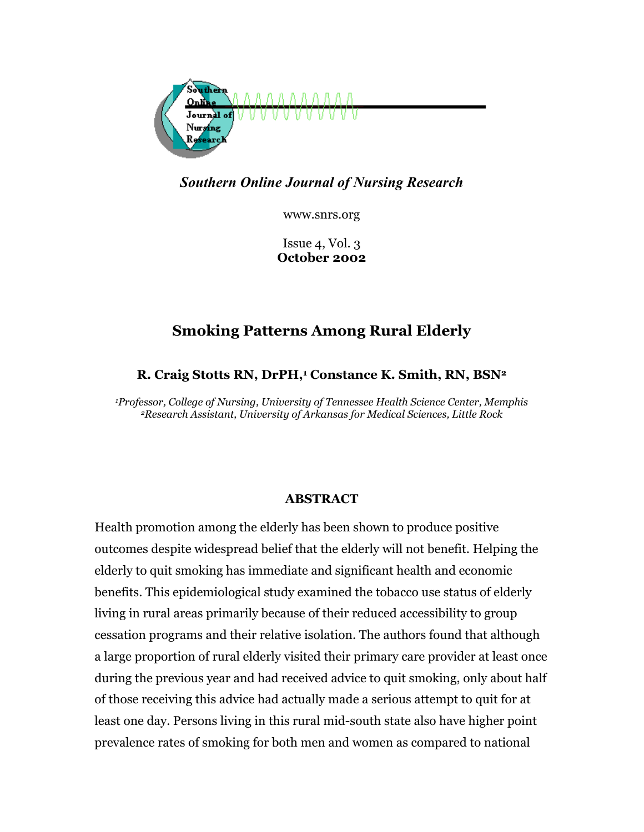

*Southern Online Journal of Nursing Research* 

www.snrs.org

Issue 4, Vol. 3 **October 2002** 

# **Smoking Patterns Among Rural Elderly**

# **R. Craig Stotts RN, DrPH,1 Constance K. Smith, RN, BSN2**

*1Professor, College of Nursing, University of Tennessee Health Science Center, Memphis 2Research Assistant, University of Arkansas for Medical Sciences, Little Rock*

## **ABSTRACT**

Health promotion among the elderly has been shown to produce positive outcomes despite widespread belief that the elderly will not benefit. Helping the elderly to quit smoking has immediate and significant health and economic benefits. This epidemiological study examined the tobacco use status of elderly living in rural areas primarily because of their reduced accessibility to group cessation programs and their relative isolation. The authors found that although a large proportion of rural elderly visited their primary care provider at least once during the previous year and had received advice to quit smoking, only about half of those receiving this advice had actually made a serious attempt to quit for at least one day. Persons living in this rural mid-south state also have higher point prevalence rates of smoking for both men and women as compared to national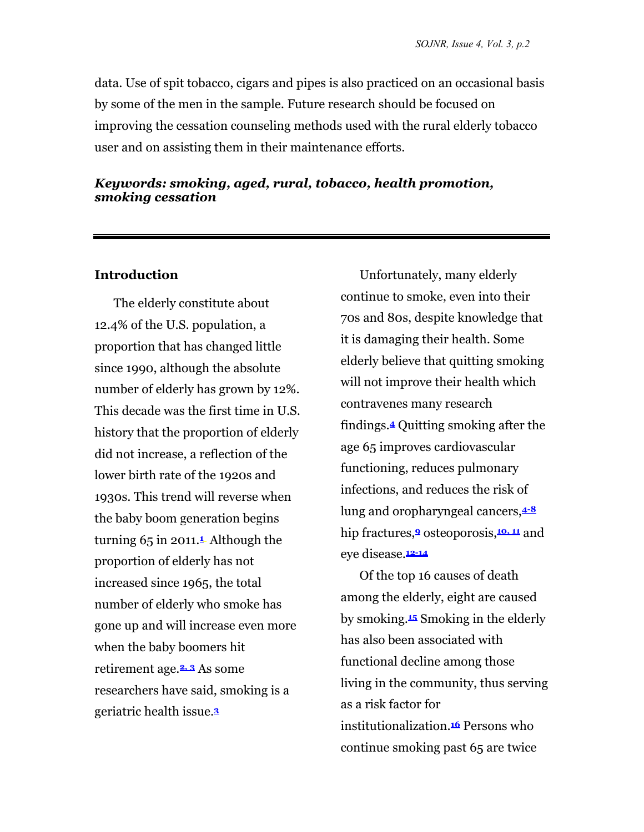data. Use of spit tobacco, cigars and pipes is also practiced on an occasional basis by some of the men in the sample. Future research should be focused on improving the cessation counseling methods used with the rural elderly tobacco user and on assisting them in their maintenance efforts.

#### *Keywords: smoking, aged, rural, tobacco, health promotion, smoking cessation*

#### **Introduction**

The elderly constitute about 12.4% of the U.S. population, a proportion that has changed little since 1990, although the absolute number of elderly has grown by 12%. This decade was the first time in U.S. history that the proportion of elderly did not increase, a reflection of the lower birth rate of the 1920s and 1930s. This trend will reverse when the baby boom generation begins turning 65 in 2011.**<sup>1</sup>** Although the proportion of elderly has not increased since 1965, the total number of elderly who smoke has gone up and will increase even more when the baby boomers hit retirement age.**2, 3** As some researchers have said, smoking is a geriatric health issue.**<sup>3</sup>**

Unfortunately, many elderly continue to smoke, even into their 70s and 80s, despite knowledge that it is damaging their health. Some elderly believe that quitting smoking will not improve their health which contravenes many research findings.**4** Quitting smoking after the age 65 improves cardiovascular functioning, reduces pulmonary infections, and reduces the risk of lung and oropharyngeal cancers,**4-8** hip fractures,**9** osteoporosis,**10, 11** and eye disease.**12-14**

Of the top 16 causes of death among the elderly, eight are caused by smoking.**15** Smoking in the elderly has also been associated with functional decline among those living in the community, thus serving as a risk factor for institutionalization.**16** Persons who continue smoking past 65 are twice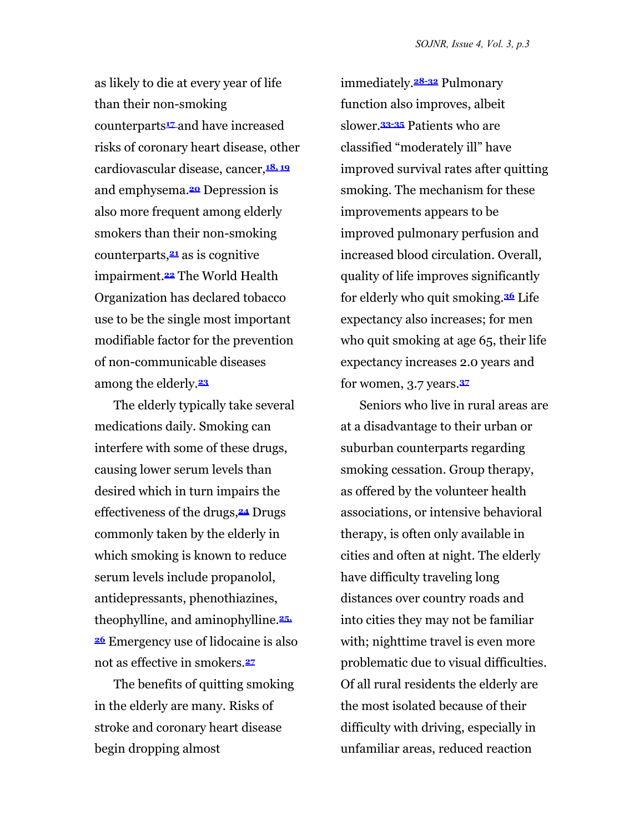as likely to die at every year of life than their non-smoking counterparts**17** and have increased risks of coronary heart disease, other cardiovascular disease, cancer,**18, 19** and emphysema.**20** Depression is also more frequent among elderly smokers than their non-smoking counterparts,**21** as is cognitive impairment.**22** The World Health Organization has declared tobacco use to be the single most important modifiable factor for the prevention of non-communicable diseases among the elderly.**<sup>23</sup>**

The elderly typically take several medications daily. Smoking can interfere with some of these drugs, causing lower serum levels than desired which in turn impairs the effectiveness of the drugs,**24** Drugs commonly taken by the elderly in which smoking is known to reduce serum levels include propanolol, antidepressants, phenothiazines, theophylline, and aminophylline.**25, <sup>26</sup>** Emergency use of lidocaine is also not as effective in smokers.**<sup>27</sup>**

The benefits of quitting smoking in the elderly are many. Risks of stroke and coronary heart disease begin dropping almost

immediately.**28-32** Pulmonary function also improves, albeit slower.**33-35** Patients who are classified "moderately ill" have improved survival rates after quitting smoking. The mechanism for these improvements appears to be improved pulmonary perfusion and increased blood circulation. Overall, quality of life improves significantly for elderly who quit smoking.**36** Life expectancy also increases; for men who quit smoking at age 65, their life expectancy increases 2.0 years and for women, 3.7 years.**<sup>37</sup>**

Seniors who live in rural areas are at a disadvantage to their urban or suburban counterparts regarding smoking cessation. Group therapy, as offered by the volunteer health associations, or intensive behavioral therapy, is often only available in cities and often at night. The elderly have difficulty traveling long distances over country roads and into cities they may not be familiar with; nighttime travel is even more problematic due to visual difficulties. Of all rural residents the elderly are the most isolated because of their difficulty with driving, especially in unfamiliar areas, reduced reaction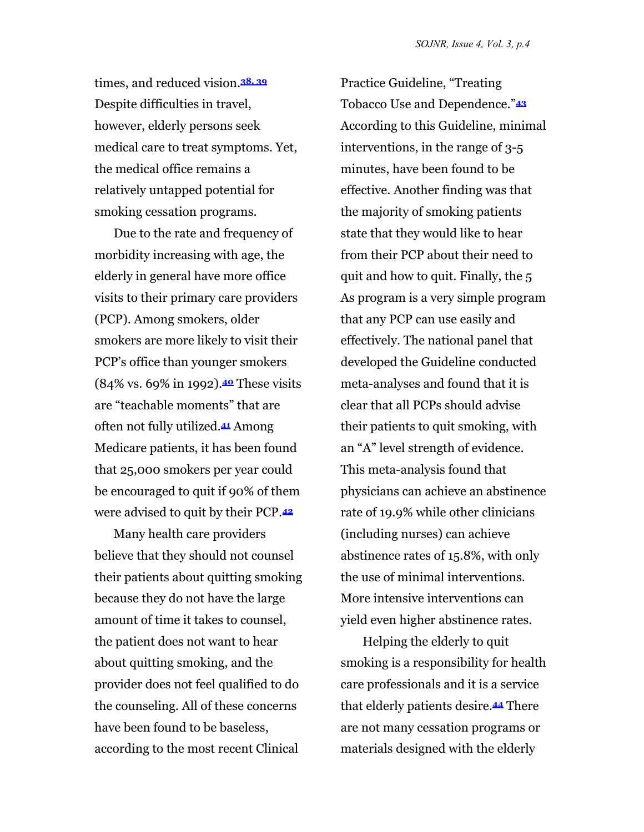times, and reduced vision.**38, 39** Despite difficulties in travel, however, elderly persons seek medical care to treat symptoms. Yet, the medical office remains a relatively untapped potential for smoking cessation programs.

Due to the rate and frequency of morbidity increasing with age, the elderly in general have more office visits to their primary care providers (PCP). Among smokers, older smokers are more likely to visit their PCP's office than younger smokers (84% vs. 69% in 1992).**40** These visits are "teachable moments" that are often not fully utilized.**41** Among Medicare patients, it has been found that 25,000 smokers per year could be encouraged to quit if 90% of them were advised to quit by their PCP.**<sup>42</sup>**

Many health care providers believe that they should not counsel their patients about quitting smoking because they do not have the large amount of time it takes to counsel, the patient does not want to hear about quitting smoking, and the provider does not feel qualified to do the counseling. All of these concerns have been found to be baseless, according to the most recent Clinical

Practice Guideline, "Treating Tobacco Use and Dependence."**<sup>43</sup>** According to this Guideline, minimal interventions, in the range of 3-5 minutes, have been found to be effective. Another finding was that the majority of smoking patients state that they would like to hear from their PCP about their need to quit and how to quit. Finally, the 5 As program is a very simple program that any PCP can use easily and effectively. The national panel that developed the Guideline conducted meta-analyses and found that it is clear that all PCPs should advise their patients to quit smoking, with an "A" level strength of evidence. This meta-analysis found that physicians can achieve an abstinence rate of 19.9% while other clinicians (including nurses) can achieve abstinence rates of 15.8%, with only the use of minimal interventions. More intensive interventions can yield even higher abstinence rates.

 Helping the elderly to quit smoking is a responsibility for health care professionals and it is a service that elderly patients desire.**44** There are not many cessation programs or materials designed with the elderly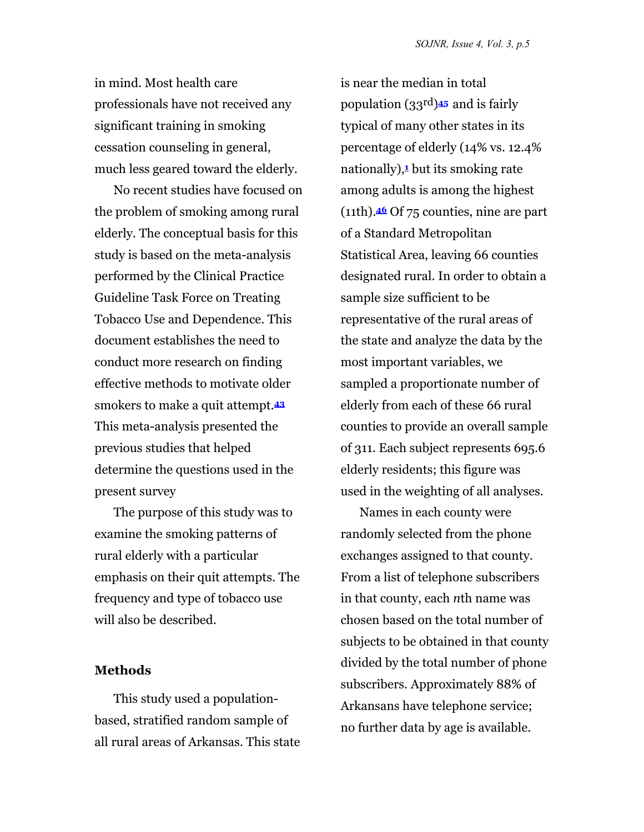in mind. Most health care professionals have not received any significant training in smoking cessation counseling in general, much less geared toward the elderly.

No recent studies have focused on the problem of smoking among rural elderly. The conceptual basis for this study is based on the meta-analysis performed by the Clinical Practice Guideline Task Force on Treating Tobacco Use and Dependence. This document establishes the need to conduct more research on finding effective methods to motivate older smokers to make a quit attempt.**<sup>43</sup>** This meta-analysis presented the previous studies that helped determine the questions used in the present survey

The purpose of this study was to examine the smoking patterns of rural elderly with a particular emphasis on their quit attempts. The frequency and type of tobacco use will also be described.

#### **Methods**

This study used a populationbased, stratified random sample of all rural areas of Arkansas. This state

is near the median in total population (33rd)**45** and is fairly typical of many other states in its percentage of elderly (14% vs. 12.4% nationally),**1** but its smoking rate among adults is among the highest (11th).**46** Of 75 counties, nine are part of a Standard Metropolitan Statistical Area, leaving 66 counties designated rural. In order to obtain a sample size sufficient to be representative of the rural areas of the state and analyze the data by the most important variables, we sampled a proportionate number of elderly from each of these 66 rural counties to provide an overall sample of 311. Each subject represents 695.6 elderly residents; this figure was used in the weighting of all analyses.

Names in each county were randomly selected from the phone exchanges assigned to that county. From a list of telephone subscribers in that county, each *n*th name was chosen based on the total number of subjects to be obtained in that county divided by the total number of phone subscribers. Approximately 88% of Arkansans have telephone service; no further data by age is available.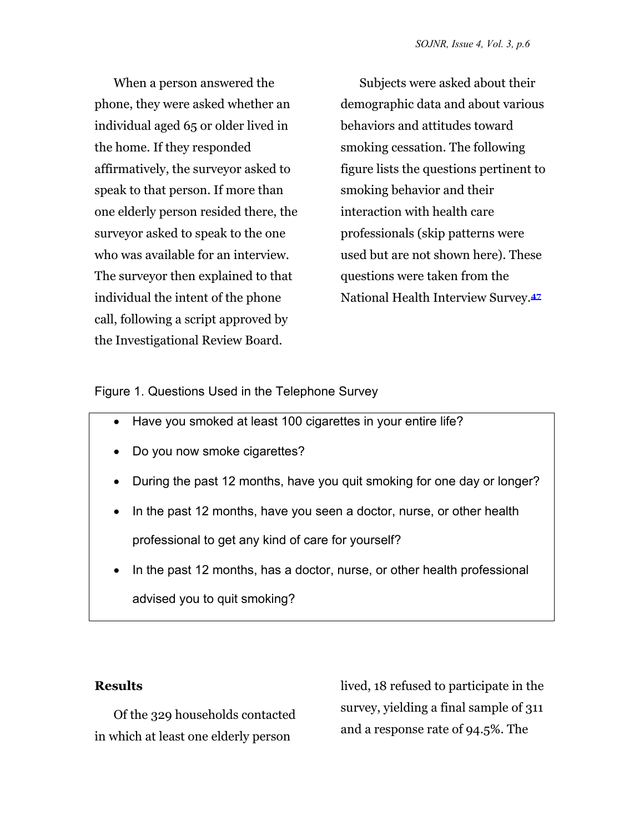When a person answered the phone, they were asked whether an individual aged 65 or older lived in the home. If they responded affirmatively, the surveyor asked to speak to that person. If more than one elderly person resided there, the surveyor asked to speak to the one who was available for an interview. The surveyor then explained to that individual the intent of the phone call, following a script approved by the Investigational Review Board.

Subjects were asked about their demographic data and about various behaviors and attitudes toward smoking cessation. The following figure lists the questions pertinent to smoking behavior and their interaction with health care professionals (skip patterns were used but are not shown here). These questions were taken from the National Health Interview Survey.**<sup>47</sup>**

Figure 1. Questions Used in the Telephone Survey

- Have you smoked at least 100 cigarettes in your entire life?
- Do you now smoke cigarettes?
- During the past 12 months, have you quit smoking for one day or longer?
- In the past 12 months, have you seen a doctor, nurse, or other health professional to get any kind of care for yourself?
- In the past 12 months, has a doctor, nurse, or other health professional advised you to quit smoking?

## **Results**

Of the 329 households contacted in which at least one elderly person

lived, 18 refused to participate in the survey, yielding a final sample of 311 and a response rate of 94.5%. The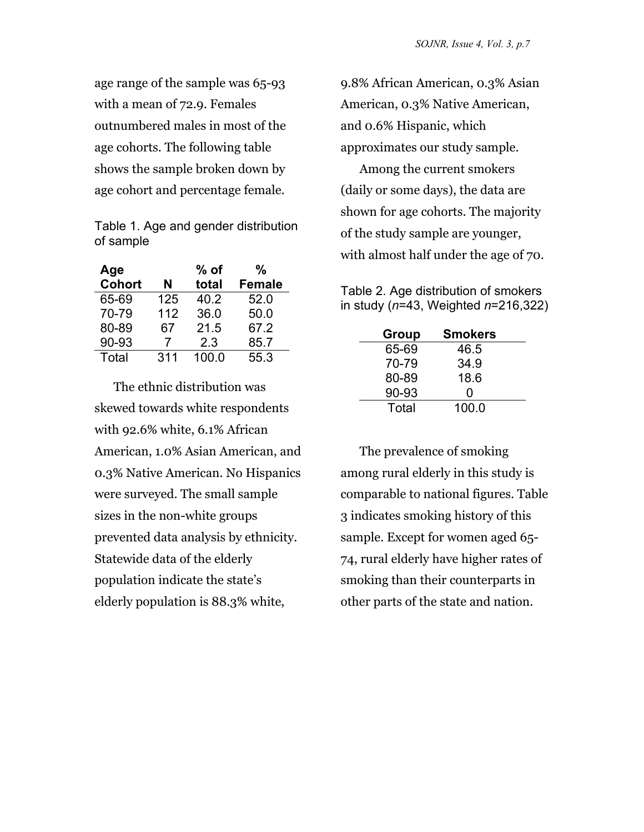age range of the sample was 65-93 with a mean of 72.9. Females outnumbered males in most of the age cohorts. The following table shows the sample broken down by age cohort and percentage female.

Table 1. Age and gender distribution of sample

| Age           |     | $%$ of | %             |
|---------------|-----|--------|---------------|
| <b>Cohort</b> | N   | total  | <b>Female</b> |
| 65-69         | 125 | 40.2   | 52.0          |
| 70-79         | 112 | 36.0   | 50.0          |
| 80-89         | 67  | 21.5   | 67.2          |
| 90-93         | 7   | 2.3    | 85.7          |
| Total         | 311 | 100.0  | 55.3          |

The ethnic distribution was skewed towards white respondents with 92.6% white, 6.1% African American, 1.0% Asian American, and 0.3% Native American. No Hispanics were surveyed. The small sample sizes in the non-white groups prevented data analysis by ethnicity. Statewide data of the elderly population indicate the state's elderly population is 88.3% white,

9.8% African American, 0.3% Asian American, 0.3% Native American, and 0.6% Hispanic, which approximates our study sample.

Among the current smokers (daily or some days), the data are shown for age cohorts. The majority of the study sample are younger, with almost half under the age of 70.

Table 2. Age distribution of smokers in study (*n*=43, Weighted *n*=216,322)

| Group | <b>Smokers</b> |  |
|-------|----------------|--|
| 65-69 | 46.5           |  |
| 70-79 | 34.9           |  |
| 80-89 | 18.6           |  |
| 90-93 | O              |  |
| Total | 100.0          |  |

The prevalence of smoking among rural elderly in this study is comparable to national figures. Table 3 indicates smoking history of this sample. Except for women aged 65- 74, rural elderly have higher rates of smoking than their counterparts in other parts of the state and nation.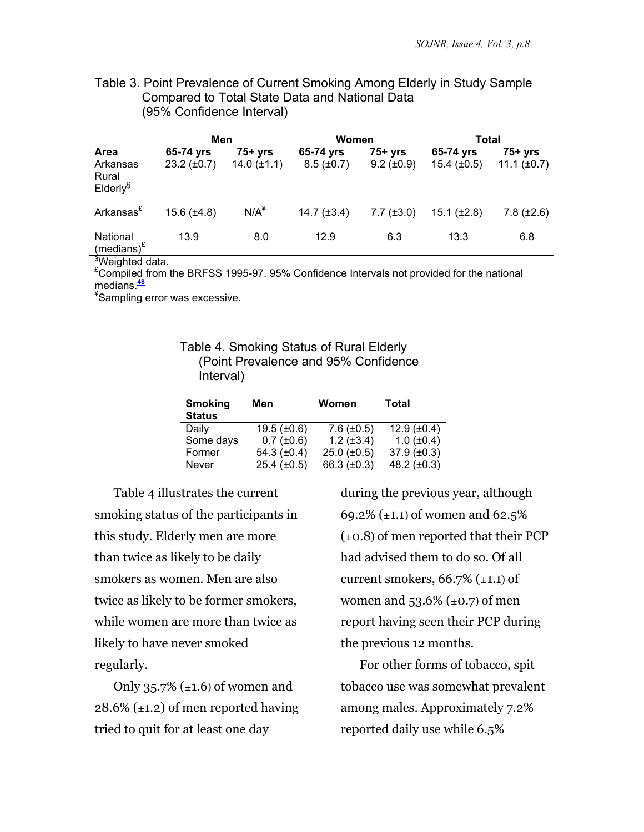Table 3. Point Prevalence of Current Smoking Among Elderly in Study Sample Compared to Total State Data and National Data (95% Confidence Interval)

|                                               | Men                  |                  | Women             |                   | Total              |                  |
|-----------------------------------------------|----------------------|------------------|-------------------|-------------------|--------------------|------------------|
| <b>Area</b>                                   | 65-74 vrs            | $75+vrs$         | 65-74 yrs         | $75+$ yrs         | 65-74 vrs          | $75+$ yrs        |
| Arkansas<br>Rural<br>$E$ Iderly $\frac{1}{3}$ | $23.2 \ (\pm 0.7)$   | 14.0 $(\pm 1.1)$ | $8.5 \ (\pm 0.7)$ | $9.2 \ (\pm 0.9)$ | $15.4 \ (\pm 0.5)$ | 11.1 $(\pm 0.7)$ |
| Arkansas <sup>£</sup>                         | $15.6$ ( $\pm 4.8$ ) | $N/A^*$          | 14.7 $(\pm 3.4)$  | $7.7 (\pm 3.0)$   | $15.1 (\pm 2.8)$   | $7.8 (\pm 2.6)$  |
| National<br>(medians) $E$                     | 13.9                 | 8.0              | 12.9              | 6.3               | 13.3               | 6.8              |

§ Weighted data.

 $E$ Compiled from the BRFSS 1995-97. 95% Confidence Intervals not provided for the national medians.**<sup>48</sup>**

¥ Sampling error was excessive.

Table 4. Smoking Status of Rural Elderly (Point Prevalence and 95% Confidence Interval)

| <b>Smoking</b><br><b>Status</b> | Men                | Women                | <b>Total</b>         |
|---------------------------------|--------------------|----------------------|----------------------|
| Daily                           | $19.5 \ (\pm 0.6)$ | $7.6 (\pm 0.5)$      | $12.9$ ( $\pm 0.4$ ) |
| Some days                       | $0.7 (\pm 0.6)$    | $1.2 (\pm 3.4)$      | $1.0$ ( $\pm 0.4$ )  |
| Former                          | 54.3 $(\pm 0.4)$   | $25.0$ ( $\pm 0.5$ ) | 37.9 $(\pm 0.3)$     |
| Never                           | $25.4 \ (\pm 0.5)$ | 66.3 $(\pm 0.3)$     | 48.2 $(\pm 0.3)$     |

Table 4 illustrates the current smoking status of the participants in this study. Elderly men are more than twice as likely to be daily smokers as women. Men are also twice as likely to be former smokers, while women are more than twice as likely to have never smoked regularly.

Only  $35.7\%$  ( $\pm 1.6$ ) of women and  $28.6\%$  ( $\pm$ 1.2) of men reported having tried to quit for at least one day

during the previous year, although 69.2% ( $\pm$ 1.1) of women and 62.5%  $(\pm 0.8)$  of men reported that their PCP had advised them to do so. Of all current smokers,  $66.7\%$  ( $\pm$ 1.1) of women and  $53.6\%$  (±0.7) of men report having seen their PCP during the previous 12 months.

For other forms of tobacco, spit tobacco use was somewhat prevalent among males. Approximately 7.2% reported daily use while 6.5%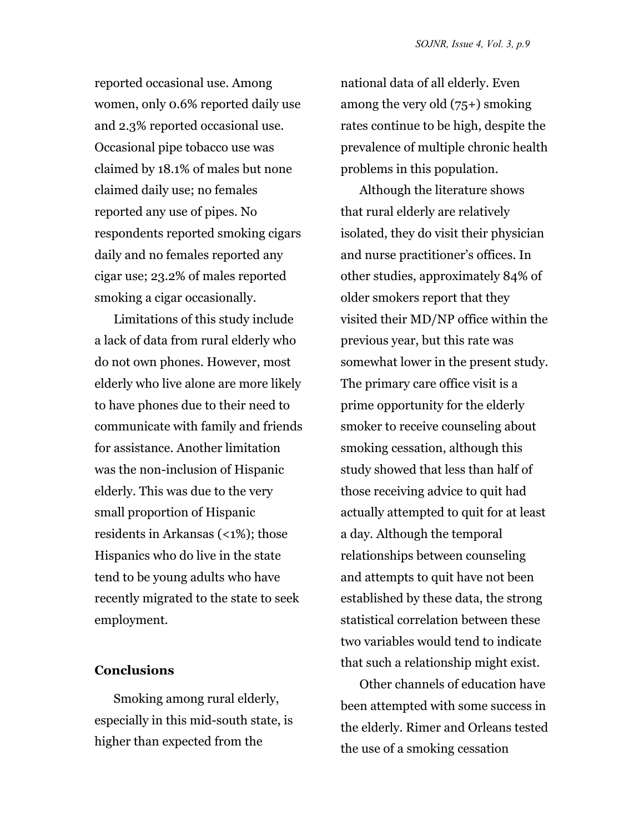reported occasional use. Among women, only 0.6% reported daily use and 2.3% reported occasional use. Occasional pipe tobacco use was claimed by 18.1% of males but none claimed daily use; no females reported any use of pipes. No respondents reported smoking cigars daily and no females reported any cigar use; 23.2% of males reported smoking a cigar occasionally.

Limitations of this study include a lack of data from rural elderly who do not own phones. However, most elderly who live alone are more likely to have phones due to their need to communicate with family and friends for assistance. Another limitation was the non-inclusion of Hispanic elderly. This was due to the very small proportion of Hispanic residents in Arkansas (<1%); those Hispanics who do live in the state tend to be young adults who have recently migrated to the state to seek employment.

#### **Conclusions**

Smoking among rural elderly, especially in this mid-south state, is higher than expected from the

national data of all elderly. Even among the very old (75+) smoking rates continue to be high, despite the prevalence of multiple chronic health problems in this population.

Although the literature shows that rural elderly are relatively isolated, they do visit their physician and nurse practitioner's offices. In other studies, approximately 84% of older smokers report that they visited their MD/NP office within the previous year, but this rate was somewhat lower in the present study. The primary care office visit is a prime opportunity for the elderly smoker to receive counseling about smoking cessation, although this study showed that less than half of those receiving advice to quit had actually attempted to quit for at least a day. Although the temporal relationships between counseling and attempts to quit have not been established by these data, the strong statistical correlation between these two variables would tend to indicate that such a relationship might exist.

Other channels of education have been attempted with some success in the elderly. Rimer and Orleans tested the use of a smoking cessation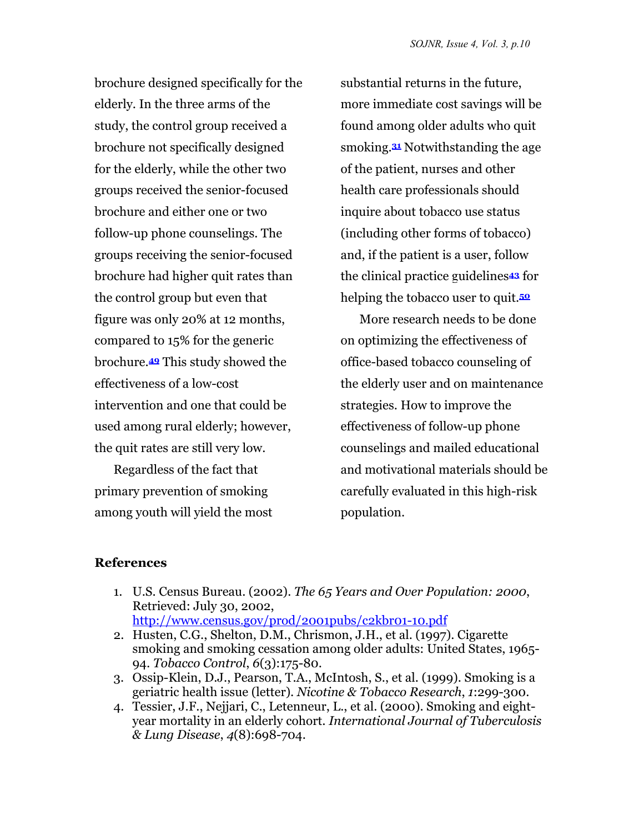brochure designed specifically for the elderly. In the three arms of the study, the control group received a brochure not specifically designed for the elderly, while the other two groups received the senior-focused brochure and either one or two follow-up phone counselings. The groups receiving the senior-focused brochure had higher quit rates than the control group but even that figure was only 20% at 12 months, compared to 15% for the generic brochure.**49** This study showed the effectiveness of a low-cost intervention and one that could be used among rural elderly; however, the quit rates are still very low.

Regardless of the fact that primary prevention of smoking among youth will yield the most

substantial returns in the future, more immediate cost savings will be found among older adults who quit smoking.**31** Notwithstanding the age of the patient, nurses and other health care professionals should inquire about tobacco use status (including other forms of tobacco) and, if the patient is a user, follow the clinical practice guidelines**43** for helping the tobacco user to quit.**<sup>50</sup>**

More research needs to be done on optimizing the effectiveness of office-based tobacco counseling of the elderly user and on maintenance strategies. How to improve the effectiveness of follow-up phone counselings and mailed educational and motivational materials should be carefully evaluated in this high-risk population.

#### **References**

- 1. U.S. Census Bureau. (2002). *The 65 Years and Over Population: 2000*, Retrieved: July 30, 2002, <http://www.census.gov/prod/2001pubs/c2kbr01-10.pdf>
- 2. Husten, C.G., Shelton, D.M., Chrismon, J.H., et al. (1997). Cigarette smoking and smoking cessation among older adults: United States, 1965- 94*. Tobacco Control*, *6*(3):175-80.
- 3. Ossip-Klein, D.J., Pearson, T.A., McIntosh, S., et al. (1999). Smoking is a geriatric health issue (letter)*. Nicotine & Tobacco Research*, *1*:299-300.
- 4. Tessier, J.F., Nejjari, C., Letenneur, L., et al. (2000). Smoking and eightyear mortality in an elderly cohort*. International Journal of Tuberculosis & Lung Disease*, *4*(8):698-704.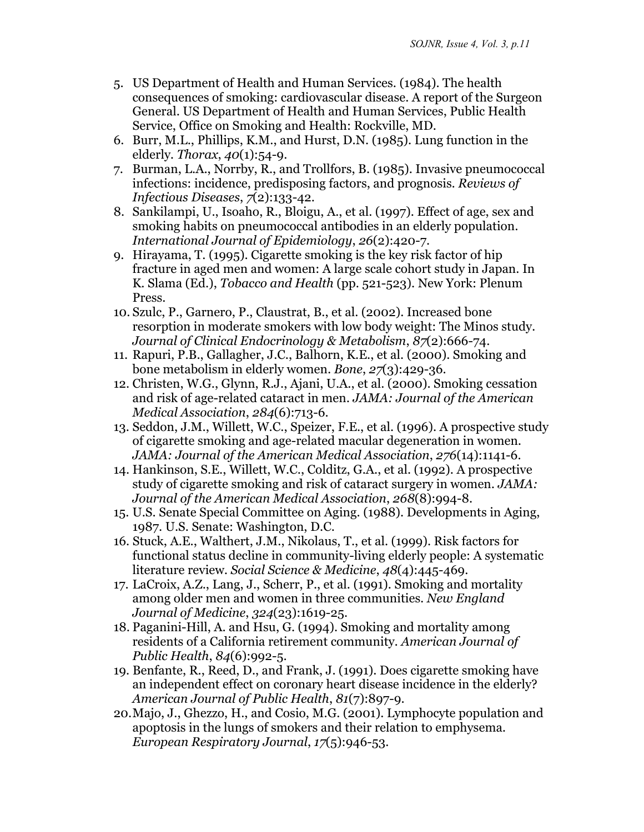- 5. US Department of Health and Human Services. (1984). The health consequences of smoking: cardiovascular disease. A report of the Surgeon General. US Department of Health and Human Services, Public Health Service, Office on Smoking and Health: Rockville, MD.
- 6. Burr, M.L., Phillips, K.M., and Hurst, D.N. (1985). Lung function in the elderly*. Thorax*, *40*(1):54-9.
- 7. Burman, L.A., Norrby, R., and Trollfors, B. (1985). Invasive pneumococcal infections: incidence, predisposing factors, and prognosis*. Reviews of Infectious Diseases*, *7*(2):133-42.
- 8. Sankilampi, U., Isoaho, R., Bloigu, A., et al. (1997). Effect of age, sex and smoking habits on pneumococcal antibodies in an elderly population*. International Journal of Epidemiology*, *26*(2):420-7.
- 9. Hirayama, T. (1995). Cigarette smoking is the key risk factor of hip fracture in aged men and women: A large scale cohort study in Japan. In K. Slama (Ed.), *Tobacco and Health* (pp. 521-523). New York: Plenum Press.
- 10. Szulc, P., Garnero, P., Claustrat, B., et al. (2002). Increased bone resorption in moderate smokers with low body weight: The Minos study*. Journal of Clinical Endocrinology & Metabolism*, *87*(2):666-74.
- 11. Rapuri, P.B., Gallagher, J.C., Balhorn, K.E., et al. (2000). Smoking and bone metabolism in elderly women*. Bone*, *27*(3):429-36.
- 12. Christen, W.G., Glynn, R.J., Ajani, U.A., et al. (2000). Smoking cessation and risk of age-related cataract in men*. JAMA: Journal of the American Medical Association*, *284*(6):713-6.
- 13. Seddon, J.M., Willett, W.C., Speizer, F.E., et al. (1996). A prospective study of cigarette smoking and age-related macular degeneration in women*. JAMA: Journal of the American Medical Association*, *276*(14):1141-6.
- 14. Hankinson, S.E., Willett, W.C., Colditz, G.A., et al. (1992). A prospective study of cigarette smoking and risk of cataract surgery in women*. JAMA: Journal of the American Medical Association*, *268*(8):994-8.
- 15. U.S. Senate Special Committee on Aging. (1988). Developments in Aging, 1987. U.S. Senate: Washington, D.C.
- 16. Stuck, A.E., Walthert, J.M., Nikolaus, T., et al. (1999). Risk factors for functional status decline in community-living elderly people: A systematic literature review*. Social Science & Medicine*, *48*(4):445-469.
- 17. LaCroix, A.Z., Lang, J., Scherr, P., et al. (1991). Smoking and mortality among older men and women in three communities*. New England Journal of Medicine*, *324*(23):1619-25.
- 18. Paganini-Hill, A. and Hsu, G. (1994). Smoking and mortality among residents of a California retirement community*. American Journal of Public Health*, *84*(6):992-5.
- 19. Benfante, R., Reed, D., and Frank, J. (1991). Does cigarette smoking have an independent effect on coronary heart disease incidence in the elderly? *American Journal of Public Health*, *81*(7):897-9.
- 20. Majo, J., Ghezzo, H., and Cosio, M.G. (2001). Lymphocyte population and apoptosis in the lungs of smokers and their relation to emphysema*. European Respiratory Journal*, *17*(5):946-53.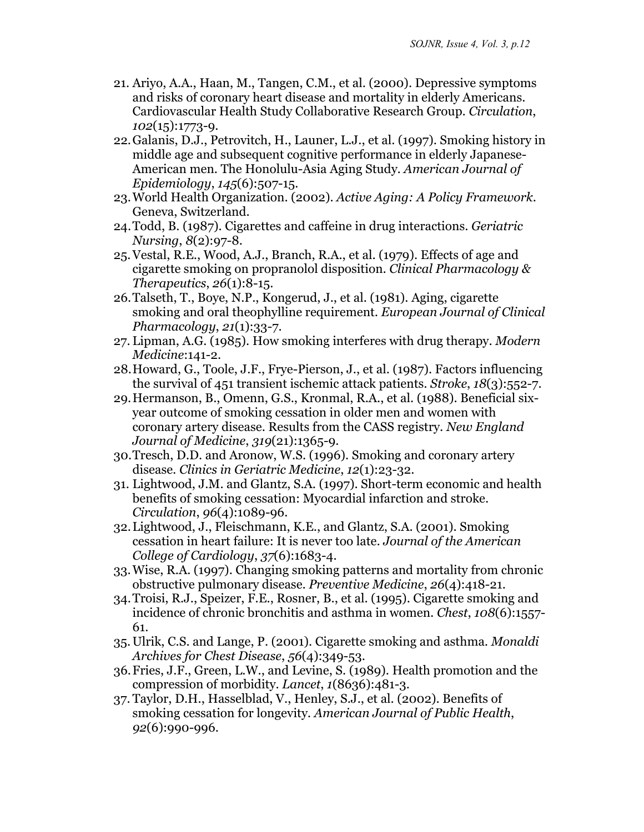- 21. Ariyo, A.A., Haan, M., Tangen, C.M., et al. (2000). Depressive symptoms and risks of coronary heart disease and mortality in elderly Americans. Cardiovascular Health Study Collaborative Research Group*. Circulation*, *102*(15):1773-9.
- 22. Galanis, D.J., Petrovitch, H., Launer, L.J., et al. (1997). Smoking history in middle age and subsequent cognitive performance in elderly Japanese-American men. The Honolulu-Asia Aging Study*. American Journal of Epidemiology*, *145*(6):507-15.
- 23. World Health Organization. (2002). *Active Aging: A Policy Framework*. Geneva, Switzerland.
- 24. Todd, B. (1987). Cigarettes and caffeine in drug interactions*. Geriatric Nursing*, *8*(2):97-8.
- 25. Vestal, R.E., Wood, A.J., Branch, R.A., et al. (1979). Effects of age and cigarette smoking on propranolol disposition*. Clinical Pharmacology & Therapeutics*, *26*(1):8-15.
- 26. Talseth, T., Boye, N.P., Kongerud, J., et al. (1981). Aging, cigarette smoking and oral theophylline requirement*. European Journal of Clinical Pharmacology*, *21*(1):33-7.
- 27. Lipman, A.G. (1985). How smoking interferes with drug therapy*. Modern Medicine*:141-2.
- 28. Howard, G., Toole, J.F., Frye-Pierson, J., et al. (1987). Factors influencing the survival of 451 transient ischemic attack patients*. Stroke*, *18*(3):552-7.
- 29. Hermanson, B., Omenn, G.S., Kronmal, R.A., et al. (1988). Beneficial sixyear outcome of smoking cessation in older men and women with coronary artery disease. Results from the CASS registry*. New England Journal of Medicine*, *319*(21):1365-9.
- 30. Tresch, D.D. and Aronow, W.S. (1996). Smoking and coronary artery disease*. Clinics in Geriatric Medicine*, *12*(1):23-32.
- 31. Lightwood, J.M. and Glantz, S.A. (1997). Short-term economic and health benefits of smoking cessation: Myocardial infarction and stroke*. Circulation*, *96*(4):1089-96.
- 32. Lightwood, J., Fleischmann, K.E., and Glantz, S.A. (2001). Smoking cessation in heart failure: It is never too late*. Journal of the American College of Cardiology*, *37*(6):1683-4.
- 33. Wise, R.A. (1997). Changing smoking patterns and mortality from chronic obstructive pulmonary disease*. Preventive Medicine*, *26*(4):418-21.
- 34. Troisi, R.J., Speizer, F.E., Rosner, B., et al. (1995). Cigarette smoking and incidence of chronic bronchitis and asthma in women*. Chest*, *108*(6):1557- 61.
- 35. Ulrik, C.S. and Lange, P. (2001). Cigarette smoking and asthma*. Monaldi Archives for Chest Disease*, *56*(4):349-53.
- 36. Fries, J.F., Green, L.W., and Levine, S. (1989). Health promotion and the compression of morbidity. *Lancet*, *1*(8636):481-3.
- 37. Taylor, D.H., Hasselblad, V., Henley, S.J., et al. (2002). Benefits of smoking cessation for longevity*. American Journal of Public Health*, *92*(6):990-996.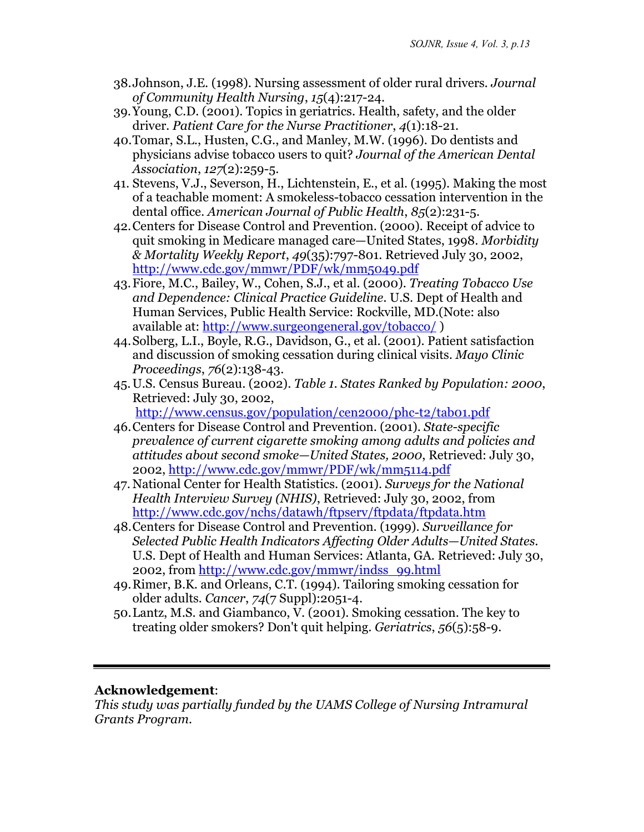- 38. Johnson, J.E. (1998). Nursing assessment of older rural drivers*. Journal of Community Health Nursing*, *15*(4):217-24.
- 39. Young, C.D. (2001). Topics in geriatrics. Health, safety, and the older driver*. Patient Care for the Nurse Practitioner*, *4*(1):18-21.
- 40. Tomar, S.L., Husten, C.G., and Manley, M.W. (1996). Do dentists and physicians advise tobacco users to quit? *Journal of the American Dental Association*, *127*(2):259-5.
- 41. Stevens, V.J., Severson, H., Lichtenstein, E., et al. (1995). Making the most of a teachable moment: A smokeless-tobacco cessation intervention in the dental office*. American Journal of Public Health*, *85*(2):231-5.
- 42. Centers for Disease Control and Prevention. (2000). Receipt of advice to quit smoking in Medicare managed care—United States, 1998*. Morbidity & Mortality Weekly Report*, *49*(35):797-801. Retrieved July 30, 2002, <http://www.cdc.gov/mmwr/PDF/wk/mm5049.pdf>
- 43. Fiore, M.C., Bailey, W., Cohen, S.J., et al. (2000). *Treating Tobacco Use and Dependence: Clinical Practice Guideline.* U.S. Dept of Health and Human Services, Public Health Service: Rockville, MD.(Note: also available at: http://www.surgeongeneral.gov/tobacco/)
- 44. Solberg, L.I., Boyle, R.G., Davidson, G., et al. (2001). Patient satisfaction and discussion of smoking cessation during clinical visits*. Mayo Clinic Proceedings*, *76*(2):138-43.
- 45. U.S. Census Bureau. (2002). *Table 1. States Ranked by Population: 2000*, Retrieved: July 30, 2002, <http://www.census.gov/population/cen2000/phc-t2/tab01.pdf>
- 46. Centers for Disease Control and Prevention. (2001). *State-specific prevalence of current cigarette smoking among adults and policies and attitudes about second smoke—United States, 2000*, Retrieved: July 30, 2002,<http://www.cdc.gov/mmwr/PDF/wk/mm5114.pdf>
- 47. National Center for Health Statistics. (2001). *Surveys for the National Health Interview Survey (NHIS)*, Retrieved: July 30, 2002, from <http://www.cdc.gov/nchs/datawh/ftpserv/ftpdata/ftpdata.htm>
- 48. Centers for Disease Control and Prevention. (1999). *Surveillance for Selected Public Health Indicators Affecting Older Adults—United States.* U.S. Dept of Health and Human Services: Atlanta, GA. Retrieved: July 30, 2002, from [http://www.cdc.gov/mmwr/indss\\_99.html](http://www.cdc.gov/mmwr/indss_99.html)
- 49. Rimer, B.K. and Orleans, C.T. (1994). Tailoring smoking cessation for older adults*. Cancer*, *74*(7 Suppl):2051-4.
- 50. Lantz, M.S. and Giambanco, V. (2001). Smoking cessation. The key to treating older smokers? Don't quit helping*. Geriatrics*, *56*(5):58-9.

## **Acknowledgement**:

*This study was partially funded by the UAMS College of Nursing Intramural Grants Program.*